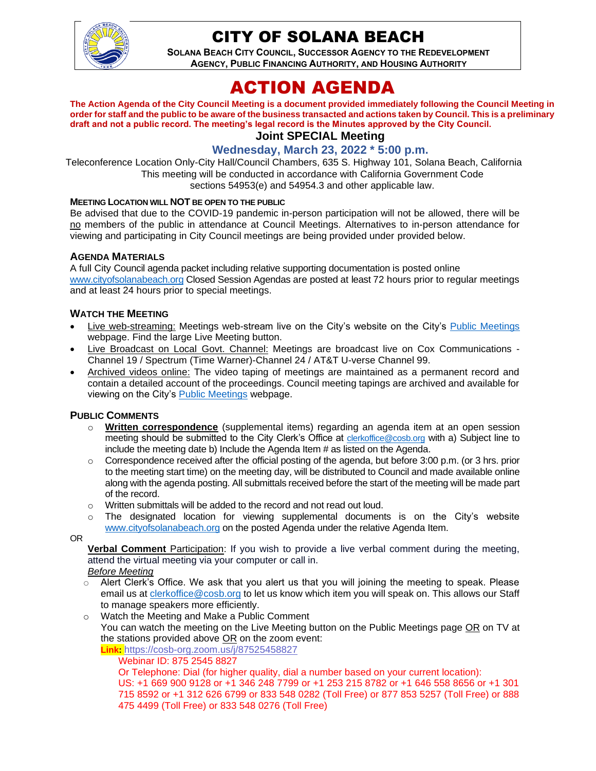

## CITY OF SOLANA BEACH

**SOLANA BEACH CITY COUNCIL, SUCCESSOR AGENCY TO THE REDEVELOPMENT AGENCY, PUBLIC FINANCING AUTHORITY, AND HOUSING AUTHORITY** 

# ACTION AGENDA

**The Action Agenda of the City Council Meeting is a document provided immediately following the Council Meeting in order for staff and the public to be aware of the business transacted and actions taken by Council. This is a preliminary draft and not a public record. The meeting's legal record is the Minutes approved by the City Council. Joint SPECIAL Meeting**

## **Wednesday, March 23, 2022 \* 5:00 p.m.**

Teleconference Location Only-City Hall/Council Chambers, 635 S. Highway 101, Solana Beach, California This meeting will be conducted in accordance with California Government Code sections 54953(e) and 54954.3 and other applicable law.

#### **MEETING LOCATION WILL NOT BE OPEN TO THE PUBLIC**

Be advised that due to the COVID-19 pandemic in-person participation will not be allowed, there will be no members of the public in attendance at Council Meetings. Alternatives to in-person attendance for viewing and participating in City Council meetings are being provided under provided below.

#### **AGENDA MATERIALS**

A full City Council agenda packet including relative supporting documentation is posted online [www.cityofsolanabeach.org](http://www.cityofsolanabeach.org/) Closed Session Agendas are posted at least 72 hours prior to regular meetings and at least 24 hours prior to special meetings.

#### **WATCH THE MEETING**

- Live web-streaming: Meetings web-stream live on the City's website on the City's [Public Meetings](https://urldefense.proofpoint.com/v2/url?u=https-3A__www.ci.solana-2Dbeach.ca.us_index.asp-3FSEC-3DF0F1200D-2D21C6-2D4A88-2D8AE1-2D0BC07C1A81A7-26Type-3DB-5FBASIC&d=DwMFAg&c=euGZstcaTDllvimEN8b7jXrwqOf-v5A_CdpgnVfiiMM&r=1XAsCUuqwK_tji2t0s1uIQ&m=wny2RVfZJ2tN24LkqZmkUWNpwL_peNtTZUBlTBZiMM4&s=WwpcEQpHHkFen6nS6q2waMuQ_VMZ-i1YZ60lD-dYRRE&e=) webpage. Find the large Live Meeting button.
- Live Broadcast on Local Govt. Channel: Meetings are broadcast live on Cox Communications Channel 19 / Spectrum (Time Warner)-Channel 24 / AT&T U-verse Channel 99.
- Archived videos online: The video taping of meetings are maintained as a permanent record and contain a detailed account of the proceedings. Council meeting tapings are archived and available for viewing on the City's [Public Meetings](https://urldefense.proofpoint.com/v2/url?u=https-3A__www.ci.solana-2Dbeach.ca.us_index.asp-3FSEC-3DF0F1200D-2D21C6-2D4A88-2D8AE1-2D0BC07C1A81A7-26Type-3DB-5FBASIC&d=DwMFAg&c=euGZstcaTDllvimEN8b7jXrwqOf-v5A_CdpgnVfiiMM&r=1XAsCUuqwK_tji2t0s1uIQ&m=wny2RVfZJ2tN24LkqZmkUWNpwL_peNtTZUBlTBZiMM4&s=WwpcEQpHHkFen6nS6q2waMuQ_VMZ-i1YZ60lD-dYRRE&e=) webpage.

#### **PUBLIC COMMENTS**

- o **Written correspondence** (supplemental items) regarding an agenda item at an open session meeting should be submitted to the City Clerk's Office at [clerkoffice@cosb.org](mailto:clerkoffice@cosb.org) with a) Subject line to include the meeting date b) Include the Agenda Item # as listed on the Agenda.
- $\circ$  Correspondence received after the official posting of the agenda, but before 3:00 p.m. (or 3 hrs. prior to the meeting start time) on the meeting day, will be distributed to Council and made available online along with the agenda posting. All submittals received before the start of the meeting will be made part of the record.
- o Written submittals will be added to the record and not read out loud.
- $\circ$  The designated location for viewing supplemental documents is on the City's website [www.cityofsolanabeach.org](http://www.cityofsolanabeach.org/) on the posted Agenda under the relative Agenda Item.

OR

**Verbal Comment** Participation: If you wish to provide a live verbal comment during the meeting, attend the virtual meeting via your computer or call in.

#### *Before Meeting*

- $\circ$  Alert Clerk's Office. We ask that you alert us that you will joining the meeting to speak. Please email us at [clerkoffice@cosb.org](mailto:clerkoffice@cosb.org) to let us know which item you will speak on. This allows our Staff to manage speakers more efficiently.
- o Watch the Meeting and Make a Public Comment
	- You can watch the meeting on the Live Meeting button on the Public Meetings page OR on TV at the stations provided above OR on the zoom event:

**Link:** <https://cosb-org.zoom.us/j/87525458827>

Webinar ID: 875 2545 8827

Or Telephone: Dial (for higher quality, dial a number based on your current location):

US: +1 669 900 9128 or +1 346 248 7799 or +1 253 215 8782 or +1 646 558 8656 or +1 301 715 8592 or +1 312 626 6799 or 833 548 0282 (Toll Free) or 877 853 5257 (Toll Free) or 888 475 4499 (Toll Free) or 833 548 0276 (Toll Free)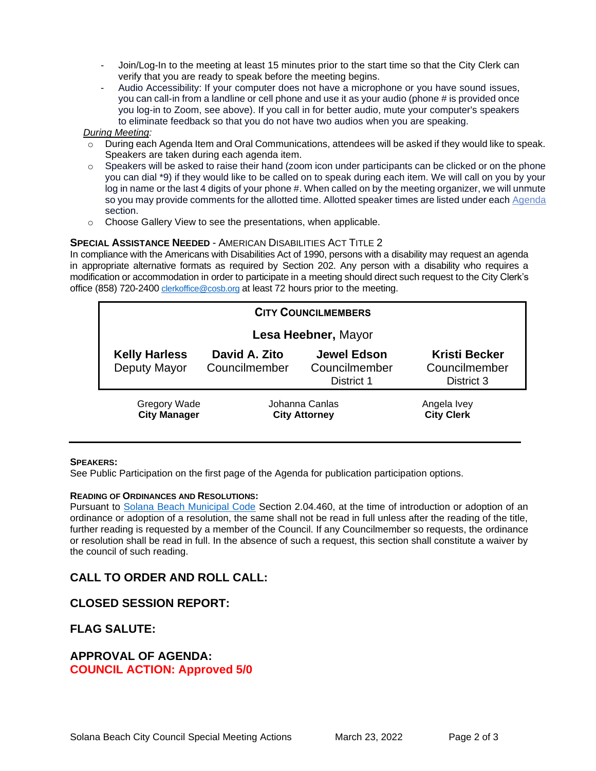- Join/Log-In to the meeting at least 15 minutes prior to the start time so that the City Clerk can verify that you are ready to speak before the meeting begins.
- Audio Accessibility: If your computer does not have a microphone or you have sound issues, you can call-in from a landline or cell phone and use it as your audio (phone # is provided once you log-in to Zoom, see above). If you call in for better audio, mute your computer's speakers to eliminate feedback so that you do not have two audios when you are speaking.

#### *During Meeting:*

- $\circ$  During each Agenda Item and Oral Communications, attendees will be asked if they would like to speak. Speakers are taken during each agenda item.
- o Speakers will be asked to raise their hand (zoom icon under participants can be clicked or on the phone you can dial \*9) if they would like to be called on to speak during each item. We will call on you by your log in name or the last 4 digits of your phone #. When called on by the meeting organizer, we will unmute so you may provide comments for the allotted time. Allotted speaker times are listed under each [Agenda](https://urldefense.proofpoint.com/v2/url?u=https-3A__www.ci.solana-2Dbeach.ca.us_index.asp-3FSEC-3DF0F1200D-2D21C6-2D4A88-2D8AE1-2D0BC07C1A81A7-26Type-3DB-5FBASIC&d=DwMFaQ&c=euGZstcaTDllvimEN8b7jXrwqOf-v5A_CdpgnVfiiMM&r=1XAsCUuqwK_tji2t0s1uIQ&m=C7WzXfOw2_nkEFMJClT55zZsF4tmIf_7KTn0o1WpYqI&s=3DcsWExM2_nx_xpvFtXslUjphiXd0MDCCF18y_Qy5yU&e=) section.
- o Choose Gallery View to see the presentations, when applicable.

#### **SPECIAL ASSISTANCE NEEDED** - AMERICAN DISABILITIES ACT TITLE 2

In compliance with the Americans with Disabilities Act of 1990, persons with a disability may request an agenda in appropriate alternative formats as required by Section 202. Any person with a disability who requires a modification or accommodation in order to participate in a meeting should direct such request to the City Clerk's office (858) 720-2400 [clerkoffice@cosb.org](mailto:EMAILGRP-CityClerksOfc@cosb.org) at least 72 hours prior to the meeting.

| <b>CITY COUNCILMEMBERS</b>                 |                                        |                                                   |                                                     |
|--------------------------------------------|----------------------------------------|---------------------------------------------------|-----------------------------------------------------|
| Lesa Heebner, Mayor                        |                                        |                                                   |                                                     |
| <b>Kelly Harless</b><br>Deputy Mayor       | David A. Zito<br>Councilmember         | <b>Jewel Edson</b><br>Councilmember<br>District 1 | <b>Kristi Becker</b><br>Councilmember<br>District 3 |
| <b>Gregory Wade</b><br><b>City Manager</b> | Johanna Canlas<br><b>City Attorney</b> |                                                   | Angela Ivey<br><b>City Clerk</b>                    |

#### **SPEAKERS:**

See Public Participation on the first page of the Agenda for publication participation options.

#### **READING OF ORDINANCES AND RESOLUTIONS:**

Pursuant to [Solana Beach Municipal Code](https://www.codepublishing.com/CA/SolanaBeach/) Section 2.04.460, at the time of introduction or adoption of an ordinance or adoption of a resolution, the same shall not be read in full unless after the reading of the title, further reading is requested by a member of the Council. If any Councilmember so requests, the ordinance or resolution shall be read in full. In the absence of such a request, this section shall constitute a waiver by the council of such reading.

## **CALL TO ORDER AND ROLL CALL:**

## **CLOSED SESSION REPORT:**

## **FLAG SALUTE:**

#### **APPROVAL OF AGENDA: COUNCIL ACTION: Approved 5/0**